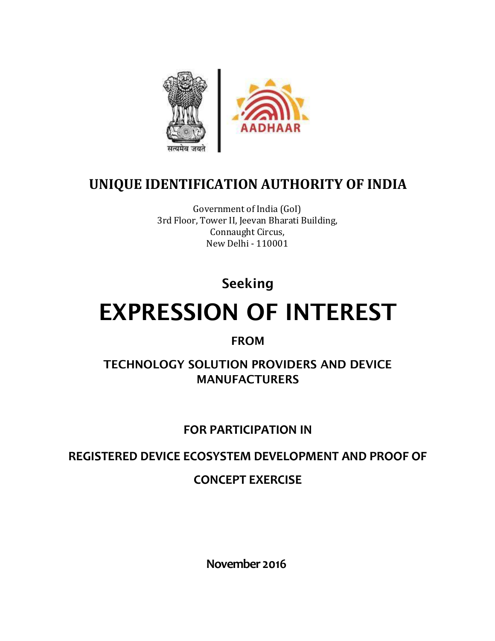

# **UNIQUE IDENTIFICATION AUTHORITY OF INDIA**

Government of India (GoI) 3rd Floor, Tower II, Jeevan Bharati Building, Connaught Circus, New Delhi - 110001

**Seeking**

# **EXPRESSION OF INTEREST**

### **FROM**

**TECHNOLOGY SOLUTION PROVIDERS AND DEVICE MANUFACTURERS**

### **FOR PARTICIPATION IN**

**REGISTERED DEVICE ECOSYSTEM DEVELOPMENT AND PROOF OF**

### **CONCEPT EXERCISE**

**November 2016**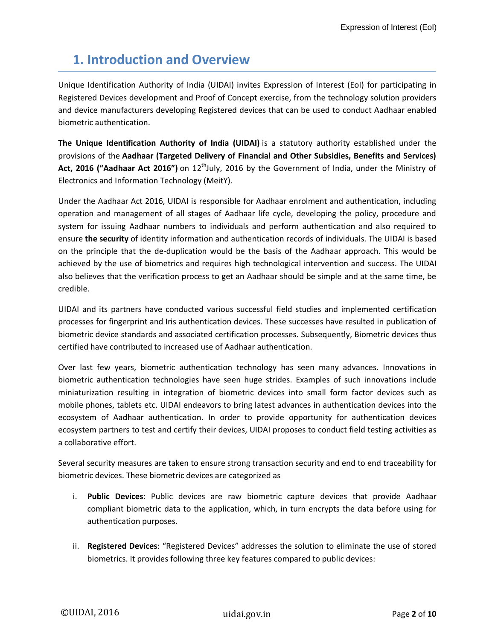### **1. Introduction and Overview**

Unique Identification Authority of India (UIDAI) invites Expression of Interest (EoI) for participating in Registered Devices development and Proof of Concept exercise, from the technology solution providers and device manufacturers developing Registered devices that can be used to conduct Aadhaar enabled biometric authentication.

**The Unique Identification Authority of India (UIDAI)** is a statutory authority established under the provisions of the **Aadhaar (Targeted Delivery of Financial and Other Subsidies, Benefits and Services)**  Act, 2016 ("Aadhaar Act 2016") on 12<sup>th</sup>July, 2016 by the Government of India, under the Ministry of Electronics and Information Technology (MeitY).

Under the Aadhaar Act 2016, UIDAI is responsible for Aadhaar enrolment and authentication, including operation and management of all stages of Aadhaar life cycle, developing the policy, procedure and system for issuing Aadhaar numbers to individuals and perform authentication and also required to ensure **the security** of identity information and authentication records of individuals. The UIDAI is based on the principle that the de-duplication would be the basis of the Aadhaar approach. This would be achieved by the use of biometrics and requires high technological intervention and success. The UIDAI also believes that the verification process to get an Aadhaar should be simple and at the same time, be credible.

UIDAI and its partners have conducted various successful field studies and implemented certification processes for fingerprint and Iris authentication devices. These successes have resulted in publication of biometric device standards and associated certification processes. Subsequently, Biometric devices thus certified have contributed to increased use of Aadhaar authentication.

Over last few years, biometric authentication technology has seen many advances. Innovations in biometric authentication technologies have seen huge strides. Examples of such innovations include miniaturization resulting in integration of biometric devices into small form factor devices such as mobile phones, tablets etc. UIDAI endeavors to bring latest advances in authentication devices into the ecosystem of Aadhaar authentication. In order to provide opportunity for authentication devices ecosystem partners to test and certify their devices, UIDAI proposes to conduct field testing activities as a collaborative effort.

Several security measures are taken to ensure strong transaction security and end to end traceability for biometric devices. These biometric devices are categorized as

- i. **Public Devices**: Public devices are raw biometric capture devices that provide Aadhaar compliant biometric data to the application, which, in turn encrypts the data before using for authentication purposes.
- ii. **Registered Devices**: "Registered Devices" addresses the solution to eliminate the use of stored biometrics. It provides following three key features compared to public devices: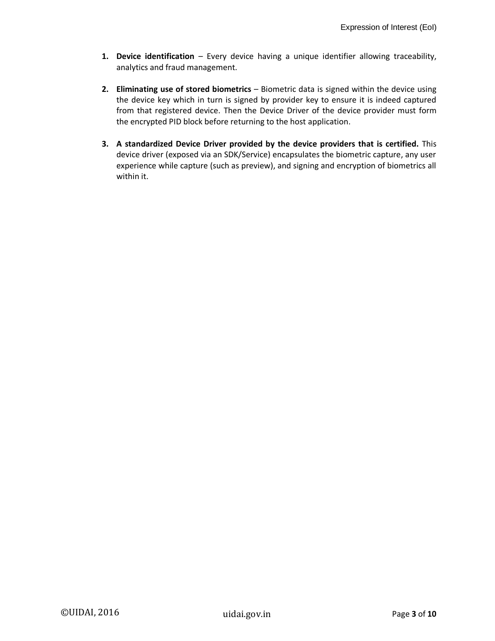- **1. Device identification** Every device having a unique identifier allowing traceability, analytics and fraud management.
- **2. Eliminating use of stored biometrics** Biometric data is signed within the device using the device key which in turn is signed by provider key to ensure it is indeed captured from that registered device. Then the Device Driver of the device provider must form the encrypted PID block before returning to the host application.
- **3. A standardized Device Driver provided by the device providers that is certified.** This device driver (exposed via an SDK/Service) encapsulates the biometric capture, any user experience while capture (such as preview), and signing and encryption of biometrics all within it.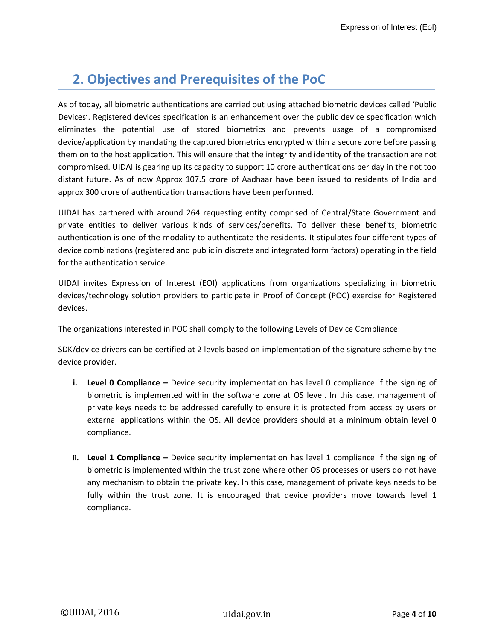### **2. Objectives and Prerequisites of the PoC**

As of today, all biometric authentications are carried out using attached biometric devices called 'Public Devices'. Registered devices specification is an enhancement over the public device specification which eliminates the potential use of stored biometrics and prevents usage of a compromised device/application by mandating the captured biometrics encrypted within a secure zone before passing them on to the host application. This will ensure that the integrity and identity of the transaction are not compromised. UIDAI is gearing up its capacity to support 10 crore authentications per day in the not too distant future. As of now Approx 107.5 crore of Aadhaar have been issued to residents of India and approx 300 crore of authentication transactions have been performed.

UIDAI has partnered with around 264 requesting entity comprised of Central/State Government and private entities to deliver various kinds of services/benefits. To deliver these benefits, biometric authentication is one of the modality to authenticate the residents. It stipulates four different types of device combinations (registered and public in discrete and integrated form factors) operating in the field for the authentication service.

UIDAI invites Expression of Interest (EOI) applications from organizations specializing in biometric devices/technology solution providers to participate in Proof of Concept (POC) exercise for Registered devices.

The organizations interested in POC shall comply to the following Levels of Device Compliance:

SDK/device drivers can be certified at 2 levels based on implementation of the signature scheme by the device provider.

- **i. Level 0 Compliance –** Device security implementation has level 0 compliance if the signing of biometric is implemented within the software zone at OS level. In this case, management of private keys needs to be addressed carefully to ensure it is protected from access by users or external applications within the OS. All device providers should at a minimum obtain level 0 compliance.
- **ii. Level 1 Compliance –** Device security implementation has level 1 compliance if the signing of biometric is implemented within the trust zone where other OS processes or users do not have any mechanism to obtain the private key. In this case, management of private keys needs to be fully within the trust zone. It is encouraged that device providers move towards level 1 compliance.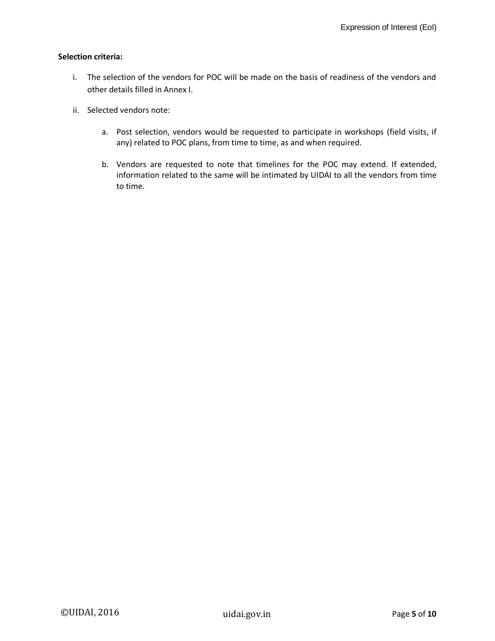#### **Selection criteria:**

- i. The selection of the vendors for POC will be made on the basis of readiness of the vendors and other details filled in Annex I.
- ii. Selected vendors note:
	- a. Post selection, vendors would be requested to participate in workshops (field visits, if any) related to POC plans, from time to time, as and when required.
	- b. Vendors are requested to note that timelines for the POC may extend. If extended, information related to the same will be intimated by UIDAI to all the vendors from time to time.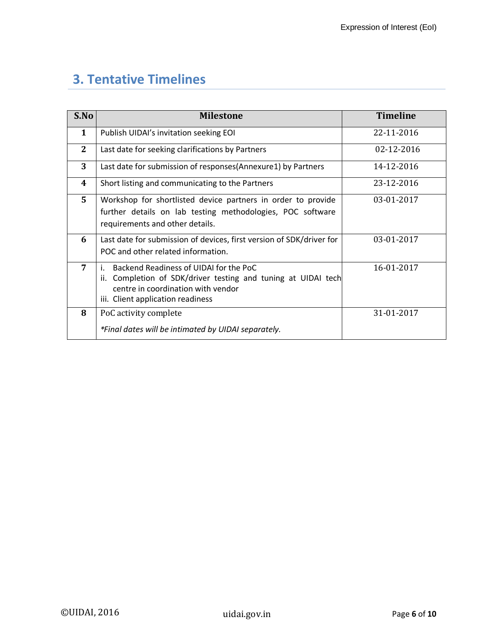# **3. Tentative Timelines**

| S.No         | <b>Milestone</b>                                                                                                                                                                            | <b>Timeline</b> |
|--------------|---------------------------------------------------------------------------------------------------------------------------------------------------------------------------------------------|-----------------|
| $\mathbf{1}$ | Publish UIDAI's invitation seeking EOI                                                                                                                                                      | 22-11-2016      |
| $\mathbf{2}$ | Last date for seeking clarifications by Partners                                                                                                                                            | 02-12-2016      |
| 3            | Last date for submission of responses(Annexure1) by Partners                                                                                                                                | 14-12-2016      |
| 4            | Short listing and communicating to the Partners                                                                                                                                             | 23-12-2016      |
| 5            | Workshop for shortlisted device partners in order to provide<br>further details on lab testing methodologies, POC software<br>requirements and other details.                               | 03-01-2017      |
| 6            | Last date for submission of devices, first version of SDK/driver for<br>POC and other related information.                                                                                  | 03-01-2017      |
| 7            | Backend Readiness of UIDAI for the PoC<br>i.<br>Completion of SDK/driver testing and tuning at UIDAI tech<br>ii.<br>centre in coordination with vendor<br>iii. Client application readiness | 16-01-2017      |
| 8            | PoC activity complete<br>*Final dates will be intimated by UIDAI separately.                                                                                                                | 31-01-2017      |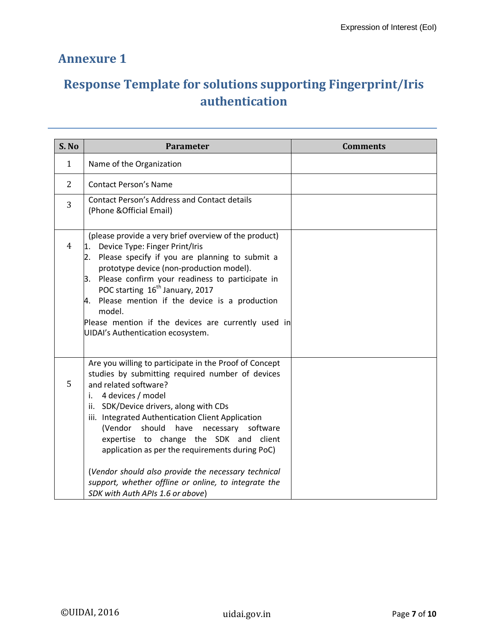### **Annexure 1**

## **Response Template for solutions supporting Fingerprint/Iris authentication**

| S. No          | <b>Parameter</b>                                                                                                                                                                                                                                                                                                                                                                                                                                                       | <b>Comments</b> |
|----------------|------------------------------------------------------------------------------------------------------------------------------------------------------------------------------------------------------------------------------------------------------------------------------------------------------------------------------------------------------------------------------------------------------------------------------------------------------------------------|-----------------|
| $\mathbf{1}$   | Name of the Organization                                                                                                                                                                                                                                                                                                                                                                                                                                               |                 |
| $\overline{2}$ | <b>Contact Person's Name</b>                                                                                                                                                                                                                                                                                                                                                                                                                                           |                 |
| 3              | <b>Contact Person's Address and Contact details</b><br>(Phone & Official Email)                                                                                                                                                                                                                                                                                                                                                                                        |                 |
| $\overline{4}$ | (please provide a very brief overview of the product)<br>Device Type: Finger Print/Iris<br>11.<br>Please specify if you are planning to submit a<br>2.<br>prototype device (non-production model).<br>Please confirm your readiness to participate in<br>3.<br>POC starting 16 <sup>th</sup> January, 2017<br>Please mention if the device is a production<br>4.<br>model.<br>Please mention if the devices are currently used in<br>UIDAI's Authentication ecosystem. |                 |
| 5              | Are you willing to participate in the Proof of Concept<br>studies by submitting required number of devices<br>and related software?<br>4 devices / model<br>i.<br>ii. SDK/Device drivers, along with CDs<br>iii. Integrated Authentication Client Application<br>(Vendor<br>should<br>necessary<br>have<br>software<br>expertise to change the SDK and<br>client<br>application as per the requirements during PoC)                                                    |                 |
|                | (Vendor should also provide the necessary technical<br>support, whether offline or online, to integrate the<br>SDK with Auth APIs 1.6 or above)                                                                                                                                                                                                                                                                                                                        |                 |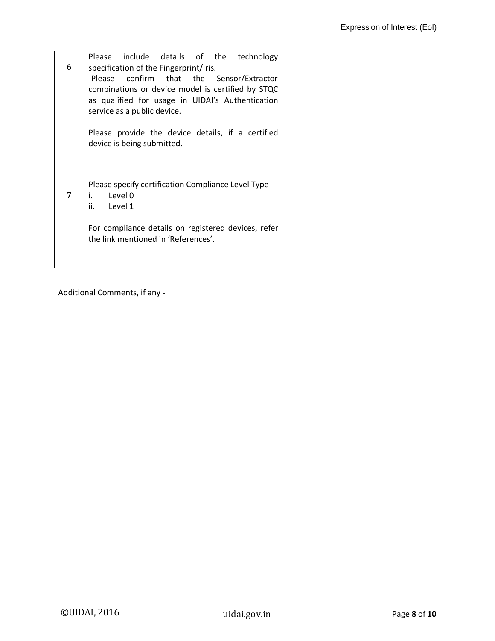| 6 | Please include details of the<br>technology<br>specification of the Fingerprint/Iris.          |  |
|---|------------------------------------------------------------------------------------------------|--|
|   | -Please confirm that the Sensor/Extractor<br>combinations or device model is certified by STQC |  |
|   | as qualified for usage in UIDAI's Authentication<br>service as a public device.                |  |
|   | Please provide the device details, if a certified<br>device is being submitted.                |  |
|   |                                                                                                |  |
| 7 | Please specify certification Compliance Level Type<br>Level 0<br>i.<br>ii.<br>Level 1          |  |
|   | For compliance details on registered devices, refer<br>the link mentioned in 'References'.     |  |

Additional Comments, if any -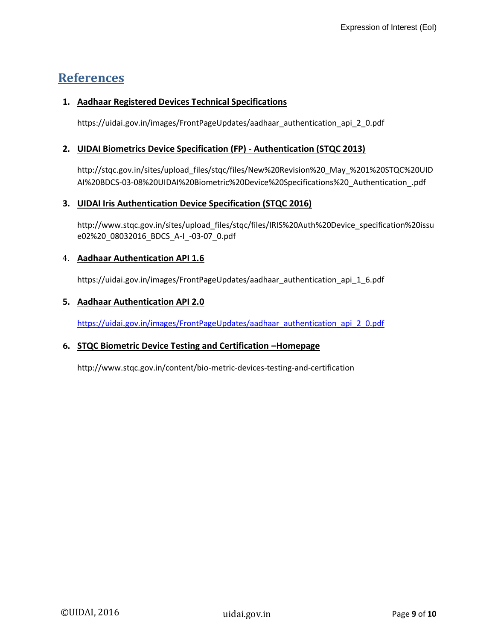### **References**

#### **1. Aadhaar Registered Devices Technical Specifications**

[https://uidai.gov.in/images/FrontPageUpdates/aadhaar\\_authentication\\_api\\_2\\_0.pdf](https://uidai.gov.in/images/FrontPageUpdates/aadhaar_authentication_api_2_0.pdf)

#### **2. UIDAI Biometrics Device Specification (FP) - Authentication (STQC 2013)**

[http://stqc.gov.in/sites/upload\\_files/stqc/files/New%20Revision%20\\_May\\_%201%20STQC%20UID](http://stqc.gov.in/sites/upload_files/stqc/files/New%20Revision%20_May_%201%20STQC%20UIDAI%20BDCS-03-08%20UIDAI%20Biometric%20Device%20Specifications%20_Authentication_.pdf) [AI%20BDCS-03-08%20UIDAI%20Biometric%20Device%20Specifications%20\\_Authentication\\_.pdf](http://stqc.gov.in/sites/upload_files/stqc/files/New%20Revision%20_May_%201%20STQC%20UIDAI%20BDCS-03-08%20UIDAI%20Biometric%20Device%20Specifications%20_Authentication_.pdf)

#### **3. UIDAI Iris Authentication Device Specification (STQC 2016)**

[http://www.stqc.gov.in/sites/upload\\_files/stqc/files/IRIS%20Auth%20Device\\_specification%20issu](http://www.stqc.gov.in/sites/upload_files/stqc/files/IRIS%20Auth%20Device_specification%20issue02%20_08032016_BDCS_A-I_-03-07_0.pdf) [e02%20\\_08032016\\_BDCS\\_A-I\\_-03-07\\_0.pdf](http://www.stqc.gov.in/sites/upload_files/stqc/files/IRIS%20Auth%20Device_specification%20issue02%20_08032016_BDCS_A-I_-03-07_0.pdf)

#### 4. **Aadhaar Authentication API 1.6**

https://uidai.gov.in/images/FrontPageUpdates/aadhaar\_authentication\_api\_1\_6.pdf

#### **5. Aadhaar Authentication API 2.0**

[https://uidai.gov.in/images/FrontPageUpdates/aadhaar\\_authentication\\_api\\_2\\_0.pdf](https://uidai.gov.in/images/FrontPageUpdates/aadhaar_authentication_api_2_0.pdf)

#### **6. STQC Biometric Device Testing and Certification –Homepage**

http://www.stqc.gov.in/content/bio-metric-devices-testing-and-certification